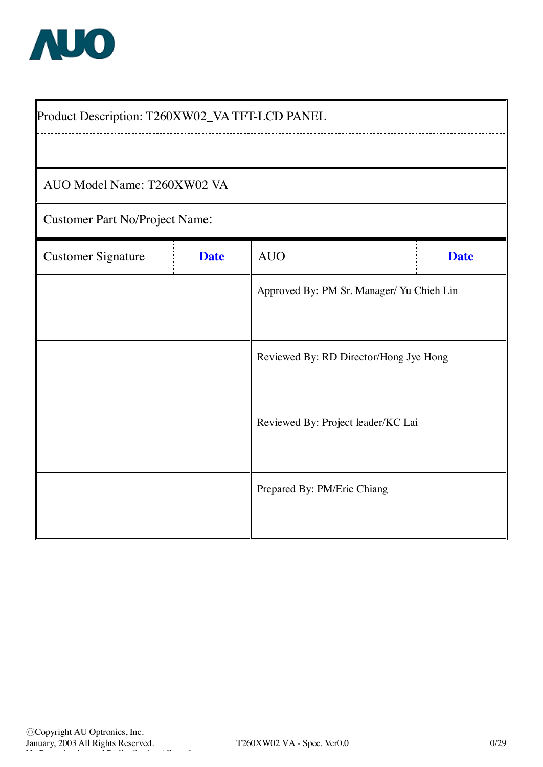

| Product Description: T260XW02_VA TFT-LCD PANEL |             |                                           |             |  |  |  |  |  |  |  |
|------------------------------------------------|-------------|-------------------------------------------|-------------|--|--|--|--|--|--|--|
|                                                |             |                                           |             |  |  |  |  |  |  |  |
| AUO Model Name: T260XW02 VA                    |             |                                           |             |  |  |  |  |  |  |  |
| <b>Customer Part No/Project Name:</b>          |             |                                           |             |  |  |  |  |  |  |  |
| <b>Customer Signature</b>                      | <b>Date</b> | <b>AUO</b>                                | <b>Date</b> |  |  |  |  |  |  |  |
|                                                |             | Approved By: PM Sr. Manager/ Yu Chieh Lin |             |  |  |  |  |  |  |  |
|                                                |             |                                           |             |  |  |  |  |  |  |  |
|                                                |             | Reviewed By: RD Director/Hong Jye Hong    |             |  |  |  |  |  |  |  |
|                                                |             |                                           |             |  |  |  |  |  |  |  |
|                                                |             | Reviewed By: Project leader/KC Lai        |             |  |  |  |  |  |  |  |
|                                                |             | Prepared By: PM/Eric Chiang               |             |  |  |  |  |  |  |  |
|                                                |             |                                           |             |  |  |  |  |  |  |  |
|                                                |             |                                           |             |  |  |  |  |  |  |  |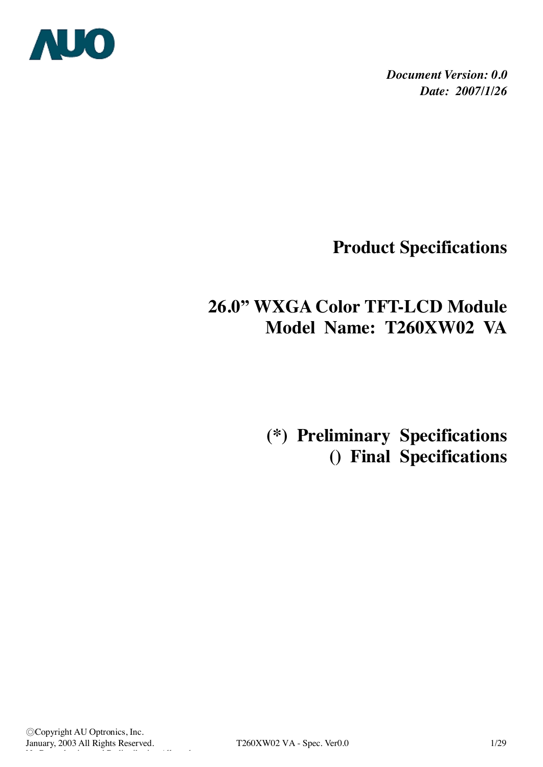

*Document Version: 0.0 Date: 2007/1/26*

**Product Specifications** 

# **26.0" WXGA Color TFT-LCD Module Model Name: T260XW02 VA**

 **(\*) Preliminary Specifications () Final Specifications**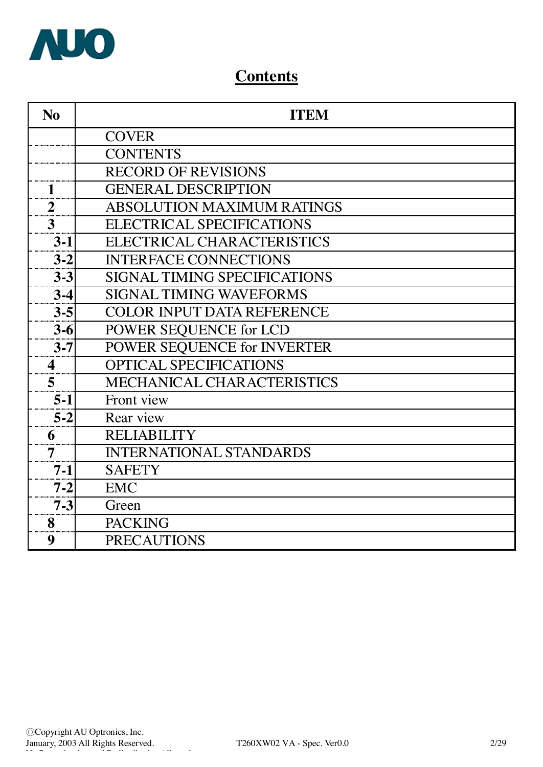

# **Contents**

| N <sub>0</sub>          | <b>ITEM</b>                         |
|-------------------------|-------------------------------------|
|                         | <b>COVER</b>                        |
|                         | <b>CONTENTS</b>                     |
|                         | <b>RECORD OF REVISIONS</b>          |
| $\mathbf{1}$            | <b>GENERAL DESCRIPTION</b>          |
| $\overline{2}$          | <b>ABSOLUTION MAXIMUM RATINGS</b>   |
| 3                       | <b>ELECTRICAL SPECIFICATIONS</b>    |
| $3 - 1$                 | ELECTRICAL CHARACTERISTICS          |
| $3 - 2$                 | <b>INTERFACE CONNECTIONS</b>        |
| $3 - 3$                 | <b>SIGNAL TIMING SPECIFICATIONS</b> |
| $3-4$                   | <b>SIGNAL TIMING WAVEFORMS</b>      |
| $3 - 5$                 | COLOR INPUT DATA REFERENCE          |
| $3 - 6$                 | POWER SEQUENCE for LCD              |
| $3 - 7$                 | POWER SEQUENCE for INVERTER         |
| $\overline{\mathbf{4}}$ | <b>OPTICAL SPECIFICATIONS</b>       |
| 5                       | MECHANICAL CHARACTERISTICS          |
| $5-1$                   | Front view                          |
| $5 - 2$                 | Rear view                           |
| 6                       | <b>RELIABILITY</b>                  |
| $\overline{7}$          | <b>INTERNATIONAL STANDARDS</b>      |
| $7 - 1$                 | <b>SAFETY</b>                       |
| $7 - 2$                 | <b>EMC</b>                          |
| $7 - 3$                 | Green                               |
| 8                       | <b>PACKING</b>                      |
| 9                       | <b>PRECAUTIONS</b>                  |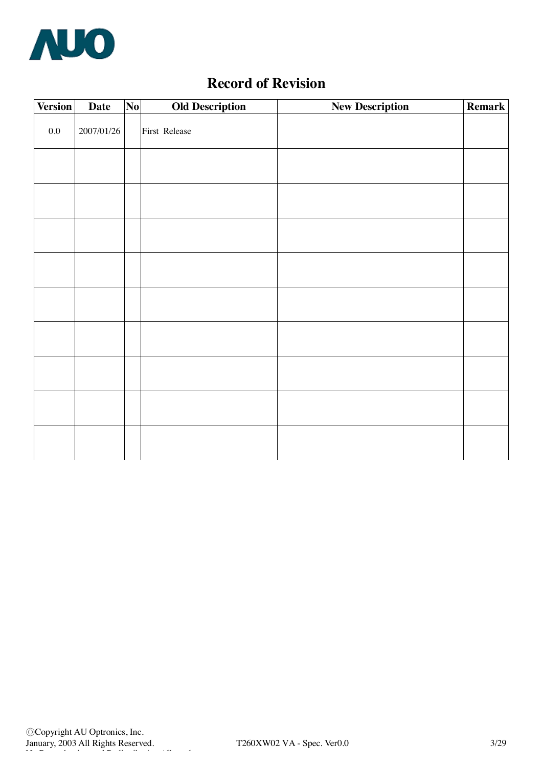

# **Record of Revision**

| <b>Version</b> | <b>Date</b> | N <sub>0</sub> | <b>Old Description</b> | <b>New Description</b> | <b>Remark</b> |
|----------------|-------------|----------------|------------------------|------------------------|---------------|
| $0.0\,$        | 2007/01/26  |                | First Release          |                        |               |
|                |             |                |                        |                        |               |
|                |             |                |                        |                        |               |
|                |             |                |                        |                        |               |
|                |             |                |                        |                        |               |
|                |             |                |                        |                        |               |
|                |             |                |                        |                        |               |
|                |             |                |                        |                        |               |
|                |             |                |                        |                        |               |
|                |             |                |                        |                        |               |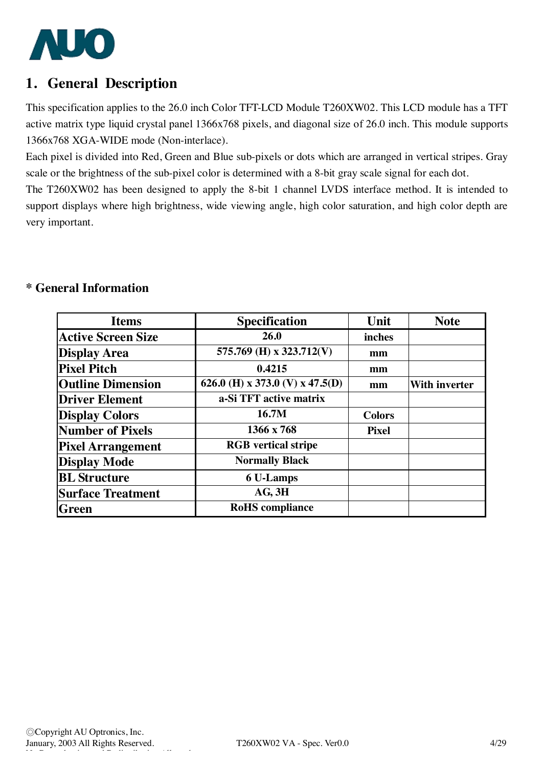

## **1. General Description**

This specification applies to the 26.0 inch Color TFT-LCD Module T260XW02. This LCD module has a TFT active matrix type liquid crystal panel 1366x768 pixels, and diagonal size of 26.0 inch. This module supports 1366x768 XGA-WIDE mode (Non-interlace).

Each pixel is divided into Red, Green and Blue sub-pixels or dots which are arranged in vertical stripes. Gray scale or the brightness of the sub-pixel color is determined with a 8-bit gray scale signal for each dot.

The T260XW02 has been designed to apply the 8-bit 1 channel LVDS interface method. It is intended to support displays where high brightness, wide viewing angle, high color saturation, and high color depth are very important.

## **\* General Information**

| <b>Items</b>              | <b>Specification</b>            | Unit          | <b>Note</b>          |
|---------------------------|---------------------------------|---------------|----------------------|
| <b>Active Screen Size</b> | 26.0                            | inches        |                      |
| <b>Display Area</b>       | 575.769 (H) x 323.712(V)        | mm            |                      |
| <b>Pixel Pitch</b>        | 0.4215                          | mm            |                      |
| <b>Outline Dimension</b>  | 626.0 (H) x 373.0 (V) x 47.5(D) | mm            | <b>With inverter</b> |
| <b>Driver Element</b>     | a-Si TFT active matrix          |               |                      |
| <b>Display Colors</b>     | 16.7M                           | <b>Colors</b> |                      |
| <b>Number of Pixels</b>   | 1366 x 768                      | <b>Pixel</b>  |                      |
| <b>Pixel Arrangement</b>  | <b>RGB</b> vertical stripe      |               |                      |
| <b>Display Mode</b>       | <b>Normally Black</b>           |               |                      |
| <b>BL</b> Structure       | 6 U-Lamps                       |               |                      |
| <b>Surface Treatment</b>  | AG, 3H                          |               |                      |
| Green                     | <b>RoHS</b> compliance          |               |                      |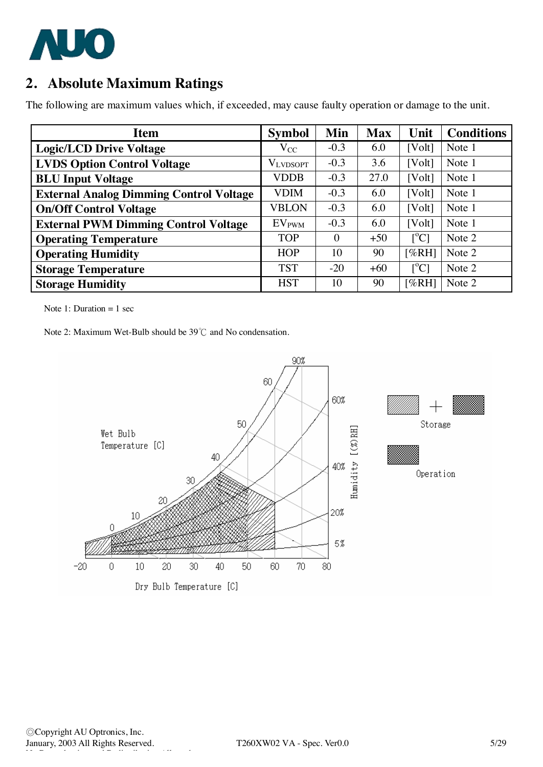

## **2. Absolute Maximum Ratings**

The following are maximum values which, if exceeded, may cause faulty operation or damage to the unit.

| <b>Item</b>                                    | <b>Symbol</b>   | Min      | <b>Max</b> | Unit                      | <b>Conditions</b> |
|------------------------------------------------|-----------------|----------|------------|---------------------------|-------------------|
| <b>Logic/LCD Drive Voltage</b>                 | $\rm V_{CC}$    | $-0.3$   | 6.0        | [Volt]                    | Note 1            |
| <b>LVDS Option Control Voltage</b>             | <b>VLVDSOPT</b> | $-0.3$   | 3.6        | [Volt]                    | Note 1            |
| <b>BLU Input Voltage</b>                       | <b>VDDB</b>     | $-0.3$   | 27.0       | [Volt]                    | Note 1            |
| <b>External Analog Dimming Control Voltage</b> | <b>VDIM</b>     | $-0.3$   | 6.0        | [Volt]                    | Note 1            |
| <b>On/Off Control Voltage</b>                  | <b>VBLON</b>    | $-0.3$   | 6.0        | [Volt]                    | Note 1            |
| <b>External PWM Dimming Control Voltage</b>    | <b>EVPWM</b>    | $-0.3$   | 6.0        | [Volt]                    | Note 1            |
| <b>Operating Temperature</b>                   | <b>TOP</b>      | $\Omega$ | $+50$      | $\lceil{^{\circ}C}\rceil$ | Note 2            |
| <b>Operating Humidity</b>                      | <b>HOP</b>      | 10       | 90         | [%RH]                     | Note 2            |
| <b>Storage Temperature</b>                     | <b>TST</b>      | $-20$    | $+60$      | $\rm [^{\circ}C]$         | Note 2            |
| <b>Storage Humidity</b>                        | <b>HST</b>      | 10       | 90         | [%RH]                     | Note 2            |

Note 1: Duration  $= 1$  sec

Note 2: Maximum Wet-Bulb should be 39℃ and No condensation.

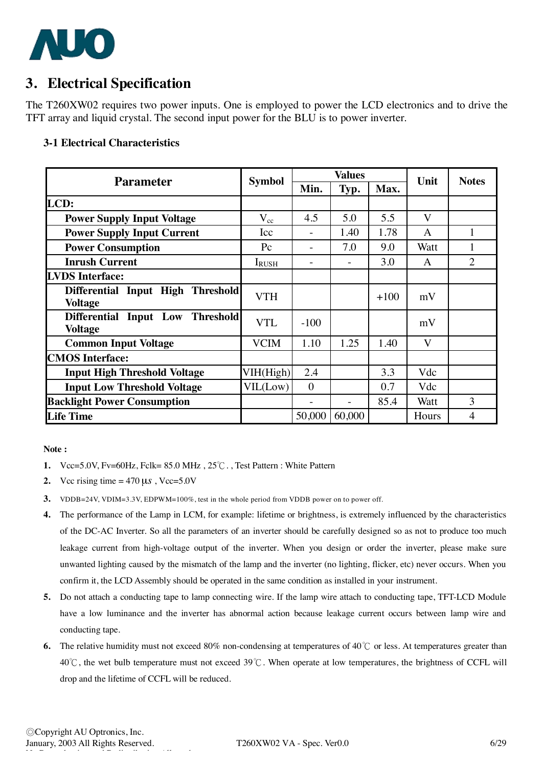

## **3. Electrical Specification**

The T260XW02 requires two power inputs. One is employed to power the LCD electronics and to drive the TFT array and liquid crystal. The second input power for the BLU is to power inverter.

#### **3-1 Electrical Characteristics**

| <b>Parameter</b>                                   | <b>Symbol</b> |          | <b>Values</b> |        | Unit  | <b>Notes</b>   |  |
|----------------------------------------------------|---------------|----------|---------------|--------|-------|----------------|--|
|                                                    |               | Min.     | Typ.          | Max.   |       |                |  |
| LCD:                                               |               |          |               |        |       |                |  |
| <b>Power Supply Input Voltage</b>                  | $V_{cc}$      | 4.5      | 5.0           | 5.5    | V     |                |  |
| <b>Power Supply Input Current</b>                  | Icc           |          | 1.40          | 1.78   | A     |                |  |
| <b>Power Consumption</b>                           | $P_{\rm C}$   |          | 7.0           | 9.0    | Watt  | 1              |  |
| <b>Inrush Current</b>                              | <b>IRUSH</b>  |          |               | 3.0    | A     | 2              |  |
| <b>LVDS</b> Interface:                             |               |          |               |        |       |                |  |
| Differential Input High Threshold                  | <b>VTH</b>    |          |               | $+100$ | mV    |                |  |
| <b>Voltage</b>                                     |               |          |               |        |       |                |  |
| Differential Input Low Threshold<br><b>Voltage</b> | <b>VTL</b>    | $-100$   |               |        | mV    |                |  |
| <b>Common Input Voltage</b>                        | <b>VCIM</b>   | 1.10     | 1.25          | 1.40   | V     |                |  |
| <b>CMOS</b> Interface:                             |               |          |               |        |       |                |  |
| <b>Input High Threshold Voltage</b>                | VIH(High)     | 2.4      |               | 3.3    | Vdc   |                |  |
| <b>Input Low Threshold Voltage</b>                 | VIL(Low)      | $\theta$ |               | 0.7    | Vdc   |                |  |
| <b>Backlight Power Consumption</b>                 |               |          |               | 85.4   | Watt  | 3              |  |
| <b>Life Time</b>                                   |               | 50,000   | 60,000        |        | Hours | $\overline{4}$ |  |

#### **Note :**

- **1.** Vcc=5.0V, Fv=60Hz, Fclk= 85.0 MHz , 25℃. , Test Pattern : White Pattern
- **2.** Vcc rising time  $= 470 \,\mu s$ , Vcc=5.0V
- **3.** VDDB=24V, VDIM=3.3V, EDPWM=100%, test in the whole period from VDDB power on to power off.
- **4.** The performance of the Lamp in LCM, for example: lifetime or brightness, is extremely influenced by the characteristics of the DC-AC Inverter. So all the parameters of an inverter should be carefully designed so as not to produce too much leakage current from high-voltage output of the inverter. When you design or order the inverter, please make sure unwanted lighting caused by the mismatch of the lamp and the inverter (no lighting, flicker, etc) never occurs. When you confirm it, the LCD Assembly should be operated in the same condition as installed in your instrument.
- **5.** Do not attach a conducting tape to lamp connecting wire. If the lamp wire attach to conducting tape, TFT-LCD Module have a low luminance and the inverter has abnormal action because leakage current occurs between lamp wire and conducting tape.
- **6.** The relative humidity must not exceed 80% non-condensing at temperatures of 40℃ or less. At temperatures greater than 40℃, the wet bulb temperature must not exceed 39℃. When operate at low temperatures, the brightness of CCFL will drop and the lifetime of CCFL will be reduced.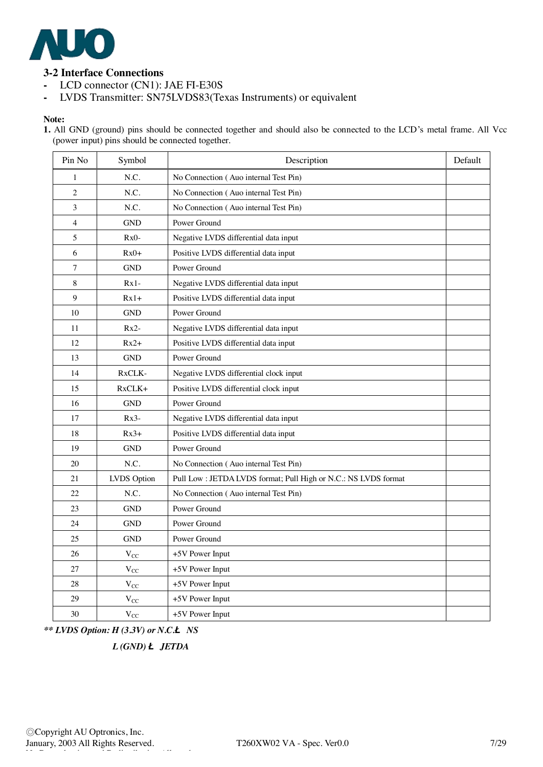

## **3-2 Interface Connections**

- **-** LCD connector (CN1): JAE FI-E30S
- **-** LVDS Transmitter: SN75LVDS83(Texas Instruments) or equivalent

#### **Note:**

1. All GND (ground) pins should be connected together and should also be connected to the LCD's metal frame. All Vcc (power input) pins should be connected together.

| Pin No         | Symbol      | Description                                                    | Default |
|----------------|-------------|----------------------------------------------------------------|---------|
| 1              | N.C.        | No Connection (Auo internal Test Pin)                          |         |
| $\overline{c}$ | N.C.        | No Connection (Auo internal Test Pin)                          |         |
| 3              | N.C.        | No Connection (Auo internal Test Pin)                          |         |
| $\overline{4}$ | <b>GND</b>  | Power Ground                                                   |         |
| 5              | $Rx0-$      | Negative LVDS differential data input                          |         |
| 6              | $Rx0+$      | Positive LVDS differential data input                          |         |
| 7              | <b>GND</b>  | Power Ground                                                   |         |
| 8              | $Rx1-$      | Negative LVDS differential data input                          |         |
| 9              | $Rx1+$      | Positive LVDS differential data input                          |         |
| 10             | <b>GND</b>  | Power Ground                                                   |         |
| 11             | $Rx2-$      | Negative LVDS differential data input                          |         |
| 12             | $Rx2+$      | Positive LVDS differential data input                          |         |
| 13             | <b>GND</b>  | Power Ground                                                   |         |
| 14             | RxCLK-      | Negative LVDS differential clock input                         |         |
| 15             | $RxCLK+$    | Positive LVDS differential clock input                         |         |
| 16             | <b>GND</b>  | Power Ground                                                   |         |
| 17             | $Rx3-$      | Negative LVDS differential data input                          |         |
| 18             | $Rx3+$      | Positive LVDS differential data input                          |         |
| 19             | <b>GND</b>  | Power Ground                                                   |         |
| 20             | N.C.        | No Connection (Auo internal Test Pin)                          |         |
| 21             | LVDS Option | Pull Low: JETDA LVDS format; Pull High or N.C.: NS LVDS format |         |
| 22             | N.C.        | No Connection (Auo internal Test Pin)                          |         |
| 23             | <b>GND</b>  | Power Ground                                                   |         |
| 24             | <b>GND</b>  | Power Ground                                                   |         |
| 25             | <b>GND</b>  | Power Ground                                                   |         |
| 26             | $V_{CC}$    | +5V Power Input                                                |         |
| 27             | $V_{CC}$    | +5V Power Input                                                |         |
| 28             | $V_{CC}$    | +5V Power Input                                                |         |
| 29             | $V_{CC}$    | +5V Power Input                                                |         |
| 30             | $V_{CC}$    | +5V Power Input                                                |         |

*\*\* LVDS Option: H (3.3V) or N.C.***Ë** *NS* 

 *L (GND)* **Ë** *JETDA*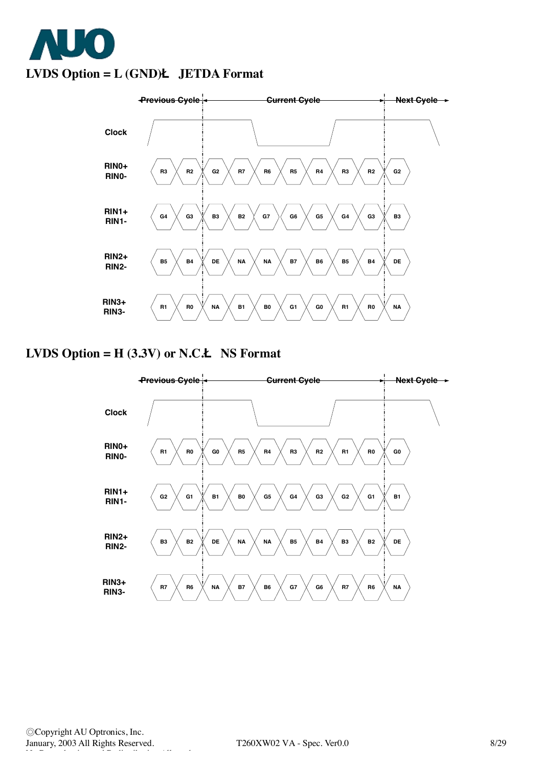



## **LVDS Option = H (3.3V) or N.C.Ë NS Format**

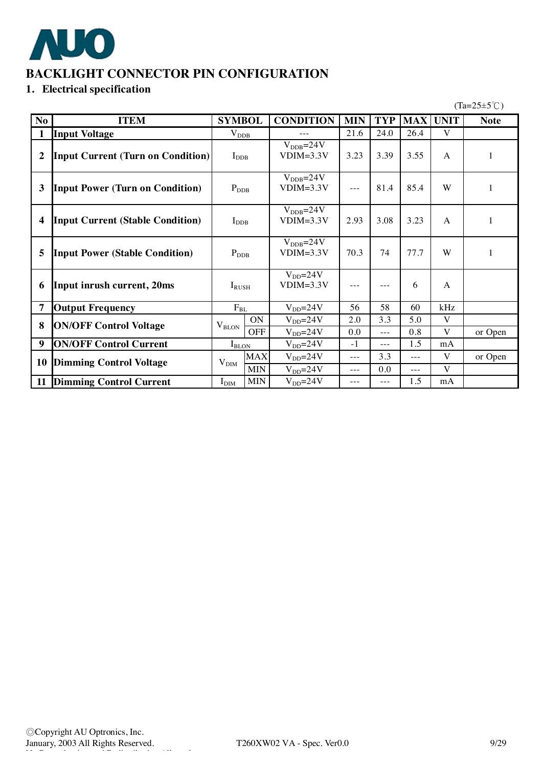

## **BACKLIGHT CONNECTOR PIN CONFIGURATION**

## **1. Electrical specification**

 $(Ta=25\pm5\degree\text{C})$ 

| N <sub>o</sub> | <b>ITEM</b>                              | <b>SYMBOL</b>    |            | <b>CONDITION</b>                      | <b>MIN</b> | <b>TYP</b> | <b>MAX</b> | <b>UNIT</b>  | <b>Note</b>  |
|----------------|------------------------------------------|------------------|------------|---------------------------------------|------------|------------|------------|--------------|--------------|
| $\mathbf{1}$   | <b>Input Voltage</b>                     | $V_{DDB}$        |            |                                       | 21.6       | 24.0       | 26.4       | V            |              |
| $\overline{2}$ | <b>Input Current (Turn on Condition)</b> | $I_{\rm DDB}$    |            | $V_{\text{DDB}} = 24V$<br>$VDIM=3.3V$ | 3.23       | 3.39       | 3.55       | $\mathsf{A}$ | 1            |
| $\mathbf{3}$   | <b>Input Power (Turn on Condition)</b>   | $P_{\rm DDB}$    |            | $V_{\text{DDB}} = 24V$<br>$VDIM=3.3V$ | $---$      | 81.4       | 85.4       | W            |              |
| 4              | <b>Input Current (Stable Condition)</b>  | $I_{\rm DDB}$    |            | $V_{\text{DDB}} = 24V$<br>$VDIM=3.3V$ | 2.93       | 3.08       | 3.23       | A            |              |
| 5              | <b>Input Power (Stable Condition)</b>    | $P_{\rm DDB}$    |            | $V_{\text{DDB}} = 24V$<br>$VDIM=3.3V$ | 70.3       | 74         | 77.7       | W            | $\mathbf{1}$ |
| 6              | Input inrush current, 20ms               | $I_{RUSH}$       |            | $V_{DD} = 24V$<br>$VDIM=3.3V$         | $---$      | $---$      | 6          | A            |              |
| 7              | <b>Output Frequency</b>                  | $F_{BL}$         |            | $V_{DD} = 24V$                        | 56         | 58         | 60         | kHz          |              |
| 8              | <b>ON/OFF Control Voltage</b>            | $V_{\rm BLON}$   | ON         | $V_{DD} = 24V$                        | 2.0        | 3.3        | 5.0        | V            |              |
|                |                                          |                  | <b>OFF</b> | $V_{DD} = 24V$                        | 0.0        | $---$      | 0.8        | V            | or Open      |
| 9              | <b>ON/OFF Control Current</b>            | $I_{\rm BLON}$   |            | $V_{DD} = 24V$                        | $-1$       | $---$      | 1.5        | mA           |              |
| 10             | <b>Dimming Control Voltage</b>           | $V_{\text{DIM}}$ | <b>MAX</b> | $V_{DD} = 24V$                        | $---$      | 3.3        | $---$      | V            | or Open      |
|                |                                          |                  | <b>MIN</b> | $V_{DD} = 24V$                        | $---$      | 0.0        | $---$      | V            |              |
| 11             | <b>Dimming Control Current</b>           | I <sub>DIM</sub> | <b>MIN</b> | $V_{DD} = 24V$                        | $---$      | $---$      | 1.5        | mA           |              |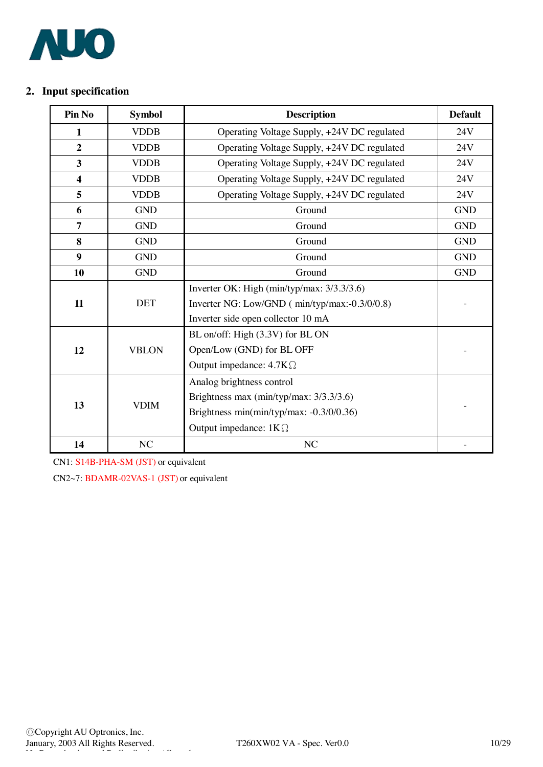

## **2. Input specification**

| Pin No                  | <b>Symbol</b> | <b>Description</b>                            | <b>Default</b> |
|-------------------------|---------------|-----------------------------------------------|----------------|
| 1                       | <b>VDDB</b>   | Operating Voltage Supply, +24V DC regulated   | 24V            |
| $\overline{2}$          | <b>VDDB</b>   | Operating Voltage Supply, +24V DC regulated   | 24V            |
| $\mathbf{3}$            | <b>VDDB</b>   | Operating Voltage Supply, +24V DC regulated   | 24V            |
| $\overline{\mathbf{4}}$ | <b>VDDB</b>   | Operating Voltage Supply, +24V DC regulated   | 24V            |
| 5                       | <b>VDDB</b>   | Operating Voltage Supply, +24V DC regulated   | 24V            |
| 6                       | <b>GND</b>    | Ground                                        | <b>GND</b>     |
| $\overline{7}$          | <b>GND</b>    | Ground                                        | <b>GND</b>     |
| 8                       | <b>GND</b>    | Ground                                        | <b>GND</b>     |
| $\boldsymbol{9}$        | <b>GND</b>    | Ground                                        | <b>GND</b>     |
| 10                      | <b>GND</b>    | Ground                                        | <b>GND</b>     |
|                         |               | Inverter OK: High (min/typ/max: 3/3.3/3.6)    |                |
| 11                      | <b>DET</b>    | Inverter NG: Low/GND (min/typ/max:-0.3/0/0.8) |                |
|                         |               | Inverter side open collector 10 mA            |                |
|                         |               | BL on/off: High (3.3V) for BL ON              |                |
| 12                      | <b>VBLON</b>  | Open/Low (GND) for BL OFF                     |                |
|                         |               | Output impedance: $4.7K\Omega$                |                |
|                         |               | Analog brightness control                     |                |
| 13                      | <b>VDIM</b>   | Brightness max (min/typ/max: 3/3.3/3.6)       |                |
|                         |               | Brightness min(min/typ/max: -0.3/0/0.36)      |                |
|                         |               | Output impedance: $1K\Omega$                  |                |
| 14                      | NC            | NC                                            |                |

CN1: S14B-PHA-SM (JST) or equivalent

CN2~7: BDAMR-02VAS-1 (JST) or equivalent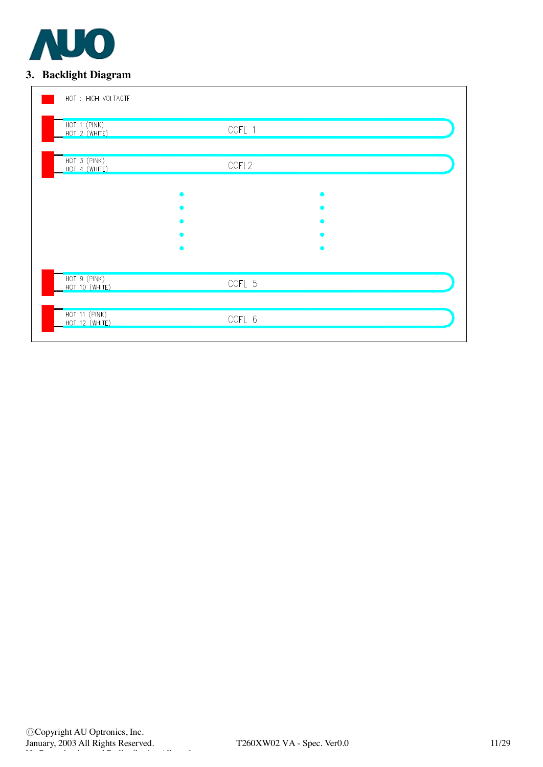

## **3. Backlight Diagram**

| HOT : HIGH VOLTAGTE                           |        |  |
|-----------------------------------------------|--------|--|
| HOT 1 (PINK)<br>HOT 2 (WHITE)                 | CCFL 1 |  |
| HOT 3 (PINK)<br>HOT 4 (WHITE)                 | CCFL2  |  |
|                                               |        |  |
|                                               |        |  |
|                                               |        |  |
| HOT 9 (PINK)<br>HOT 10 (WHITE)                | CCFL 5 |  |
| <b>HOT 11 (PINK)</b><br><b>HOT 12 (WHITE)</b> | CCFL 6 |  |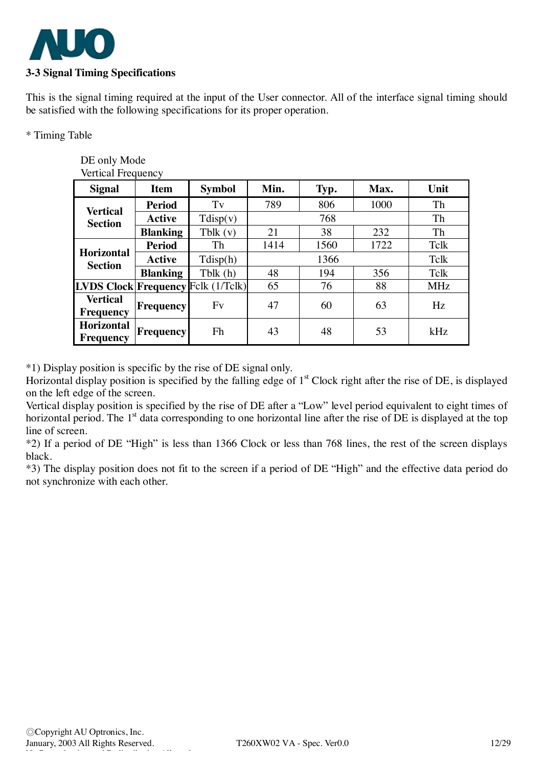

DE only Mode

This is the signal timing required at the input of the User connector. All of the interface signal timing should be satisfied with the following specifications for its proper operation.

\* Timing Table

| Vertical Frequency                        |                  |               |      |      |      |            |  |  |  |  |
|-------------------------------------------|------------------|---------------|------|------|------|------------|--|--|--|--|
| <b>Signal</b>                             | <b>Item</b>      | <b>Symbol</b> | Min. | Typ. | Max. | Unit       |  |  |  |  |
| <b>Vertical</b>                           | <b>Period</b>    | Tv            | 789  | 806  | 1000 | Th         |  |  |  |  |
| <b>Section</b>                            | <b>Active</b>    | Tdisp(v)      |      | 768  |      |            |  |  |  |  |
|                                           | <b>Blanking</b>  | Tblk $(v)$    | 21   | 38   | 232  | Th         |  |  |  |  |
| <b>Horizontal</b><br><b>Section</b>       | <b>Period</b>    | Th            | 1414 | 1560 | 1722 | Tclk       |  |  |  |  |
|                                           | <b>Active</b>    | Tdisp(h)      |      | Tclk |      |            |  |  |  |  |
|                                           | <b>Blanking</b>  | Tblk(h)       | 48   | 194  | 356  | Tclk       |  |  |  |  |
| <b>LVDS Clock Frequency Felk (1/Telk)</b> |                  |               | 65   | 76   | 88   | <b>MHz</b> |  |  |  |  |
| <b>Vertical</b><br><b>Frequency</b>       | <b>Frequency</b> | Fv            | 47   | 60   | 63   | Hz         |  |  |  |  |
| <b>Horizontal</b><br>Frequency            | <b>Frequency</b> | Fh            | 43   | 48   | 53   | kHz        |  |  |  |  |

\*1) Display position is specific by the rise of DE signal only.

Horizontal display position is specified by the falling edge of  $1<sup>st</sup>$  Clock right after the rise of DE, is displayed on the left edge of the screen.

Vertical display position is specified by the rise of DE after a "Low" level period equivalent to eight times of horizontal period. The  $1<sup>st</sup>$  data corresponding to one horizontal line after the rise of DE is displayed at the top line of screen.

\*2) If a period of DE "High" is less than 1366 Clock or less than 768 lines, the rest of the screen displays black.

\*3) The display position does not fit to the screen if a period of DE "High" and the effective data period do not synchronize with each other.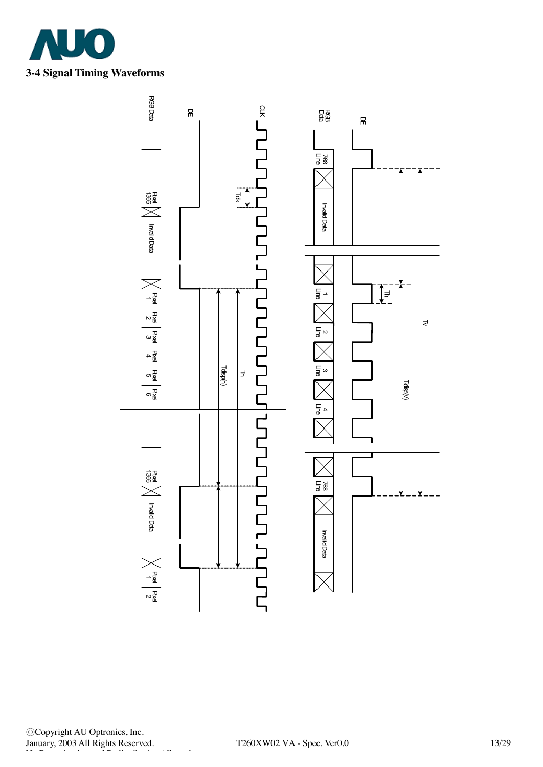

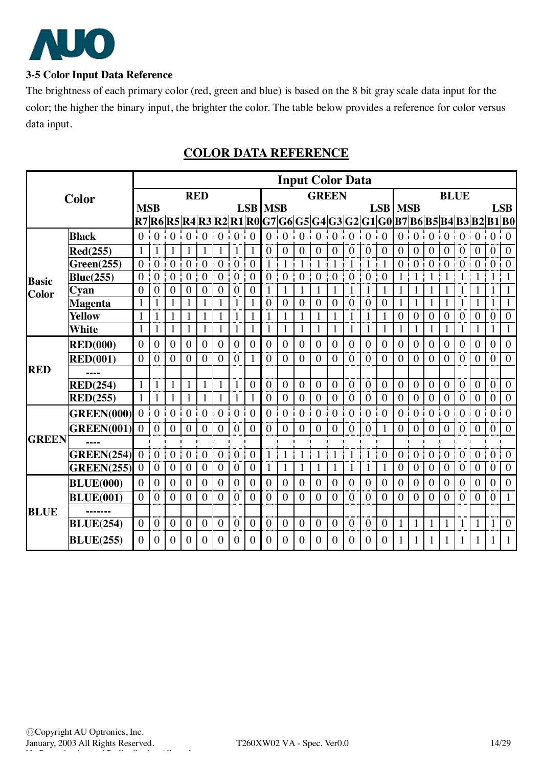

### **3-5 Color Input Data Reference**

The brightness of each primary color (red, green and blue) is based on the 8 bit gray scale data input for the color; the higher the binary input, the brighter the color. The table below provides a reference for color versus data input.

|              |                   | <b>Input Color Data</b> |                  |                  |                  |                  |                  |                  |                  |                |                |                  |                                                 |                  |                  |                  |                  |                  |                  |                  |                  |                  |                         |                  |                  |
|--------------|-------------------|-------------------------|------------------|------------------|------------------|------------------|------------------|------------------|------------------|----------------|----------------|------------------|-------------------------------------------------|------------------|------------------|------------------|------------------|------------------|------------------|------------------|------------------|------------------|-------------------------|------------------|------------------|
|              | Color             |                         |                  |                  |                  | <b>RED</b>       |                  |                  |                  |                |                |                  | <b>GREEN</b>                                    |                  |                  |                  |                  |                  |                  |                  | <b>BLUE</b>      |                  |                         |                  |                  |
|              |                   | <b>MSB</b>              |                  |                  |                  |                  |                  |                  |                  | <b>LSB</b> MSB |                |                  |                                                 |                  |                  |                  | <b>LSB</b>       | <b>MSB</b>       |                  |                  |                  |                  |                         |                  | <b>LSB</b>       |
|              |                   |                         |                  |                  |                  |                  |                  |                  |                  |                |                |                  | R7 R6 R5 R4 R3 R2 R1 R0 G7 G6 G5 G4 G3 G2 G1 G0 |                  |                  |                  |                  |                  |                  |                  |                  |                  | B7 B6 B5 B4 B3 B2 B1 B0 |                  |                  |
|              | <b>Black</b>      | $\mathbf{0}$            | $\mathbf{0}$     | $\boldsymbol{0}$ | $\boldsymbol{0}$ | $\overline{0}$   | $\mathbf{0}$     | $\mathbf{0}$     | $\overline{0}$   | $\theta$       | $\mathbf{0}$   | $\boldsymbol{0}$ | $\mathbf{0}$                                    | $\boldsymbol{0}$ | $\mathbf{0}$     | $\boldsymbol{0}$ | $\overline{0}$   | $\boldsymbol{0}$ | $\boldsymbol{0}$ | $\boldsymbol{0}$ | $\boldsymbol{0}$ | $\mathbf{0}$     | $\mathbf{0}$            | $\mathbf{0}$     | $\boldsymbol{0}$ |
|              | Red(255)          | $\mathbf{1}$            | 1                | 1                | 1                | $\mathbf{1}$     | $\mathbf{1}$     | $\mathbf{1}$     | 1                | $\theta$       | $\theta$       | $\overline{0}$   | $\theta$                                        | $\overline{0}$   | $\overline{0}$   | $\mathbf{0}$     | $\overline{0}$   | $\overline{0}$   | $\overline{0}$   | $\mathbf{0}$     | $\overline{0}$   | $\theta$         | $\theta$                | $\overline{0}$   | $\boldsymbol{0}$ |
|              | Green(255)        | $\theta$                | $\overline{0}$   | $\mathbf{0}$     | $\theta$         | $\overline{0}$   | $\mathbf{0}$     | $\overline{0}$   | $\theta$         | 1              | $\mathbf{1}$   | $\mathbf{1}$     | 1                                               | 1                | $\mathbf{1}$     | $\mathbf{1}$     | $\mathbf{1}$     | $\overline{0}$   | $\overline{0}$   | $\overline{0}$   | $\mathbf{0}$     | $\theta$         | $\mathbf{0}$            | $\overline{0}$   | $\boldsymbol{0}$ |
| <b>Basic</b> | <b>Blue(255)</b>  | $\overline{0}$          | $\overline{0}$   | $\mathbf{0}$     | $\overline{0}$   | $\overline{0}$   | $\mathbf{0}$     | $\overline{0}$   | $\overline{0}$   | $\overline{0}$ | $\mathbf{0}$   | $\overline{0}$   | $\overline{0}$                                  | $\overline{0}$   | $\overline{0}$   | $\overline{0}$   | $\overline{0}$   | $\mathbf{1}$     | $\mathbf{1}$     | 1                | $\mathbf{1}$     | 1                | 1                       | $\mathbf{1}$     | $\mathbf{1}$     |
| Color        | Cyan              | $\theta$                | 0                | $\overline{0}$   | $\theta$         | $\overline{0}$   | $\overline{0}$   | $\overline{0}$   | 0                | 1              | 1              | $\mathbf{1}$     | 1                                               | 1                | 1                | 1                | 1                | $\mathbf{1}$     | 1                | 1                | 1                | 1                | 1                       | 1                | $\mathbf{1}$     |
|              | <b>Magenta</b>    | $\mathbf{1}$            |                  | $\mathbf{1}$     | $\mathbf{1}$     | $\mathbf{1}$     | $\mathbf{1}$     | 1                | $\mathbf{1}$     | $\overline{0}$ | $\overline{0}$ | $\boldsymbol{0}$ | $\overline{0}$                                  | $\boldsymbol{0}$ | $\mathbf{0}$     | $\boldsymbol{0}$ | $\boldsymbol{0}$ | $\mathbf{1}$     | $\mathbf{1}$     | $\mathbf{1}$     |                  | 1                |                         | $\mathbf{1}$     | $\mathbf{1}$     |
|              | <b>Yellow</b>     | $\mathbf{1}$            | 1                | $\mathbf{1}$     | $\mathbf{1}$     | $\mathbf{1}$     |                  | $\mathbf{1}$     | $\mathbf{1}$     | $\mathbf{1}$   | $\mathbf{1}$   | $\mathbf{1}$     |                                                 | $\mathbf{1}$     | $\mathbf{1}$     | $\mathbf{1}$     | 1                | $\boldsymbol{0}$ | $\boldsymbol{0}$ | $\mathbf{0}$     | $\overline{0}$   | $\boldsymbol{0}$ | $\overline{0}$          | $\boldsymbol{0}$ | $\mathbf{0}$     |
|              | White             | $\mathbf{1}$            | 1                | $\mathbf{1}$     | $\mathbf{1}$     | $\mathbf{1}$     | $\mathbf{1}$     | $\mathbf{1}$     | 1                | 1              | 1              | $\mathbf{1}$     | 1                                               | $\mathbf{1}$     | $\mathbf{1}$     | $\mathbf{1}$     | $\mathbf{1}$     | $\mathbf{1}$     | $\mathbf{1}$     | 1                | 1                | 1                | 1                       | 1                | $\mathbf{1}$     |
|              | <b>RED(000)</b>   | $\overline{0}$          | $\overline{0}$   | $\mathbf{0}$     | $\theta$         | $\overline{0}$   | $\overline{0}$   | $\overline{0}$   | $\theta$         | $\theta$       | $\overline{0}$ | $\overline{0}$   | $\theta$                                        | $\overline{0}$   | $\mathbf{0}$     | $\mathbf{0}$     | $\overline{0}$   | $\overline{0}$   | $\overline{0}$   | $\overline{0}$   | $\overline{0}$   | $\theta$         | $\theta$                | $\boldsymbol{0}$ | $\overline{0}$   |
|              | <b>RED(001)</b>   | $\overline{0}$          | $\overline{0}$   | $\theta$         | $\theta$         | $\overline{0}$   | $\theta$         | $\theta$         | $\mathbf{1}$     | $\theta$       | $\theta$       | $\theta$         | $\theta$                                        | $\overline{0}$   | $\theta$         | $\theta$         | $\theta$         | $\overline{0}$   | $\overline{0}$   | $\theta$         | $\theta$         | $\theta$         | $\overline{0}$          | $\overline{0}$   | $\overline{0}$   |
| <b>RED</b>   |                   |                         |                  |                  |                  |                  |                  |                  |                  |                |                |                  |                                                 |                  |                  |                  |                  |                  |                  |                  |                  |                  |                         |                  |                  |
|              | <b>RED(254)</b>   | $\mathbf{1}$            | 1                | $\mathbf{1}$     | $\mathbf{1}$     | $\mathbf{1}$     | $\mathbf{1}$     | 1                | $\overline{0}$   | $\mathbf{0}$   | $\overline{0}$ | $\boldsymbol{0}$ | $\overline{0}$                                  | $\boldsymbol{0}$ | $\overline{0}$   | $\mathbf{0}$     | $\overline{0}$   | $\overline{0}$   | $\overline{0}$   | $\mathbf{0}$     | $\mathbf{0}$     | $\overline{0}$   | $\mathbf{0}$            | $\overline{0}$   | $\mathbf{0}$     |
|              | RED(255)          | $\mathbf{1}$            | $\mathbf{1}$     | $\mathbf{1}$     | $\mathbf{1}$     | $\mathbf{1}$     |                  | $\mathbf{1}$     | $\mathbf{1}$     | $\overline{0}$ | $\mathbf{0}$   | $\boldsymbol{0}$ | $\boldsymbol{0}$                                | $\boldsymbol{0}$ | $\boldsymbol{0}$ | $\boldsymbol{0}$ | $\boldsymbol{0}$ | $\boldsymbol{0}$ | $\boldsymbol{0}$ | $\mathbf{0}$     | $\boldsymbol{0}$ | $\boldsymbol{0}$ | $\boldsymbol{0}$        | $\boldsymbol{0}$ | $\boldsymbol{0}$ |
|              | <b>GREEN(000)</b> | $\overline{0}$          | $\overline{0}$   | $\mathbf{0}$     | $\mathbf{0}$     | $\overline{0}$   | $\boldsymbol{0}$ | $\mathbf{0}$     | $\theta$         | $\overline{0}$ | $\overline{0}$ | $\overline{0}$   | $\overline{0}$                                  | $\overline{0}$   | $\overline{0}$   | $\overline{0}$   | $\overline{0}$   | $\overline{0}$   | $\overline{0}$   | $\overline{0}$   | $\overline{0}$   | $\theta$         | $\theta$                | $\boldsymbol{0}$ | $\boldsymbol{0}$ |
|              | <b>GREEN(001)</b> | $\theta$                | $\overline{0}$   | $\theta$         | $\theta$         | $\theta$         | $\theta$         | $\theta$         | $\theta$         | $\theta$       | $\theta$       | $\theta$         | $\Omega$                                        | $\theta$         | $\Omega$         | $\theta$         | 1                | $\overline{0}$   | $\theta$         | $\theta$         | $\theta$         | $\theta$         | $\theta$                | $\overline{0}$   | $\overline{0}$   |
| <b>GREEN</b> |                   |                         |                  |                  |                  |                  |                  |                  |                  |                |                |                  |                                                 |                  |                  |                  |                  |                  |                  |                  |                  |                  |                         |                  |                  |
|              | <b>GREEN(254)</b> | $\overline{0}$          | $\mathbf{0}$     | $\boldsymbol{0}$ | $\mathbf{0}$     | $\overline{0}$   | $\boldsymbol{0}$ | $\mathbf{0}$     | $\boldsymbol{0}$ | $\mathbf{1}$   | 1              | $\mathbf{1}$     | $\mathbf{1}$                                    | 1                | $\mathbf{1}$     | 1                | $\boldsymbol{0}$ | $\boldsymbol{0}$ | $\boldsymbol{0}$ | $\boldsymbol{0}$ | $\overline{0}$   | $\overline{0}$   | $\mathbf{0}$            | $\boldsymbol{0}$ | $\mathbf{0}$     |
|              | <b>GREEN(255)</b> | $\overline{0}$          | $\boldsymbol{0}$ | $\boldsymbol{0}$ | $\mathbf{0}$     | $\boldsymbol{0}$ | $\overline{0}$   | $\boldsymbol{0}$ | $\boldsymbol{0}$ | 1              | 1              | 1                | 1                                               | $\mathbf{1}$     | 1                | 1                | 1                | $\boldsymbol{0}$ | $\boldsymbol{0}$ | $\overline{0}$   | $\mathbf{0}$     | $\boldsymbol{0}$ | $\boldsymbol{0}$        | $\boldsymbol{0}$ | $\boldsymbol{0}$ |
|              | <b>BLUE(000)</b>  | $\theta$                | $\overline{0}$   | $\overline{0}$   | $\theta$         | $\overline{0}$   | $\overline{0}$   | $\mathbf{0}$     | $\overline{0}$   | $\overline{0}$ | $\overline{0}$ | $\mathbf{0}$     | $\overline{0}$                                  | $\overline{0}$   | $\overline{0}$   | $\overline{0}$   | $\mathbf{0}$     | $\overline{0}$   | $\overline{0}$   | $\theta$         | $\overline{0}$   | $\theta$         | $\overline{0}$          | $\overline{0}$   | $\boldsymbol{0}$ |
|              | <b>BLUE(001)</b>  | $\theta$                | 0                | $\overline{0}$   | 0                | $\overline{0}$   | $\overline{0}$   | $\overline{0}$   | $\overline{0}$   | $\overline{0}$ | $\overline{0}$ | $\overline{0}$   | $\overline{0}$                                  | $\overline{0}$   | 0                | $\overline{0}$   | $\overline{0}$   | $\overline{0}$   | $\overline{0}$   | 0                | $\overline{0}$   | $\overline{0}$   | 0                       | $\boldsymbol{0}$ | $\mathbf{1}$     |
| <b>BLUE</b>  |                   |                         |                  |                  |                  |                  |                  |                  |                  |                |                |                  |                                                 |                  |                  |                  |                  |                  |                  |                  |                  |                  |                         |                  |                  |
|              | <b>BLUE(254)</b>  | $\overline{0}$          | $\overline{0}$   | $\mathbf{0}$     | $\overline{0}$   | $\overline{0}$   | $\mathbf{0}$     | $\mathbf{0}$     | $\overline{0}$   | $\theta$       | $\theta$       | $\mathbf{0}$     | $\mathbf{0}$                                    | $\boldsymbol{0}$ | $\mathbf{0}$     | $\mathbf{0}$     | $\mathbf{0}$     | $\mathbf{1}$     | $\mathbf{1}$     | $\mathbf{1}$     | $\mathbf{1}$     | $\mathbf{1}$     | 1                       | $\mathbf{1}$     | $\mathbf{0}$     |
|              | <b>BLUE(255)</b>  | $\theta$                | $\overline{0}$   | $\theta$         | $\Omega$         | $\theta$         | $\overline{0}$   | $\mathbf{0}$     | $\Omega$         | $\theta$       | $\theta$       | $\theta$         | $\Omega$                                        | $\Omega$         | $\Omega$         | $\overline{0}$   | $\theta$         | 1                | 1                |                  | 1                |                  |                         | 1                | $\mathbf{1}$     |

## **COLOR DATA REFERENCE**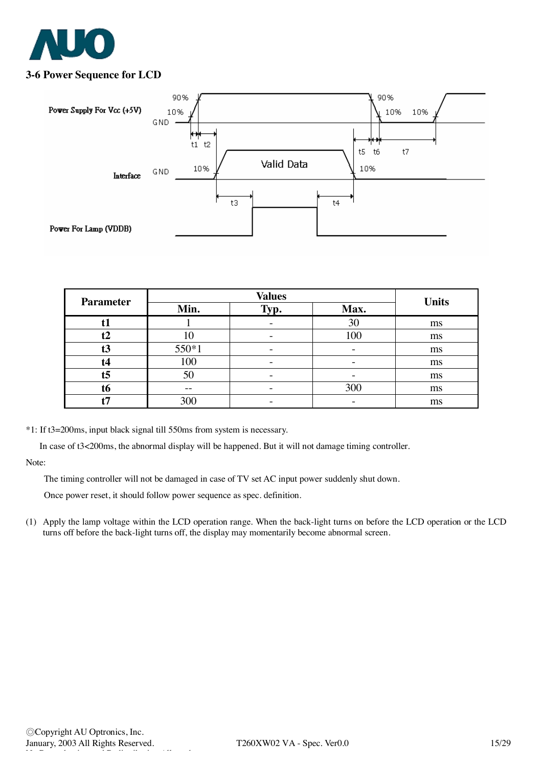

### **3-6 Power Sequence for LCD**



| <b>Parameter</b> |       | <b>Units</b> |      |    |
|------------------|-------|--------------|------|----|
|                  | Min.  | Typ.         | Max. |    |
|                  |       |              | 30   | ms |
| t2               | 10    | -            | 100  | ms |
| t3               | 550*1 |              |      | ms |
| t4               | 100   |              |      | ms |
| t <sub>5</sub>   | 50    | -            |      | ms |
| t6               | --    |              | 300  | ms |
|                  | 300   |              |      | ms |

\*1: If t3=200ms, input black signal till 550ms from system is necessary.

In case of t3<200ms, the abnormal display will be happened. But it will not damage timing controller.

Note:

The timing controller will not be damaged in case of TV set AC input power suddenly shut down.

Once power reset, it should follow power sequence as spec. definition.

(1) Apply the lamp voltage within the LCD operation range. When the back-light turns on before the LCD operation or the LCD turns off before the back-light turns off, the display may momentarily become abnormal screen.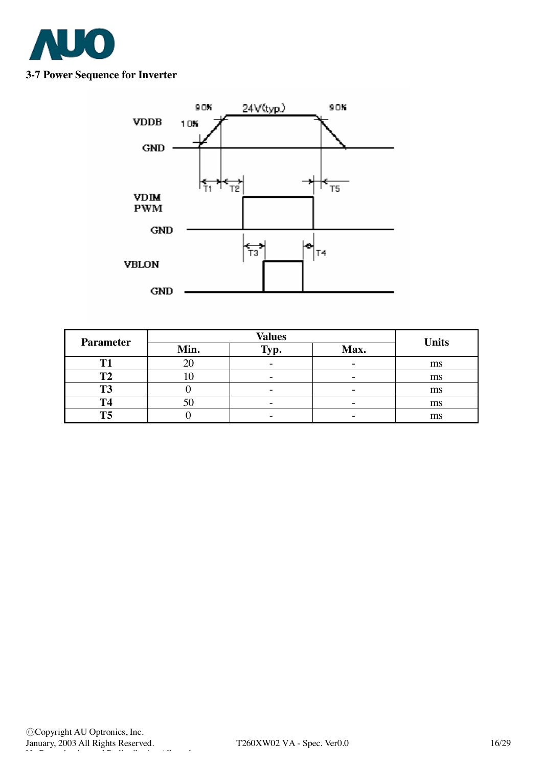

### **3-7 Power Sequence for Inverter**



| <b>Parameter</b> |      | <b>Units</b> |      |    |
|------------------|------|--------------|------|----|
|                  | Min. | $Tv$ .       | Max. |    |
| m                |      |              |      | ms |
|                  | ıυ   |              |      | ms |
| T <sub>3</sub>   |      |              |      | ms |
| T <sub>4</sub>   |      |              |      | ms |
| T <sub>5</sub>   |      |              |      | ms |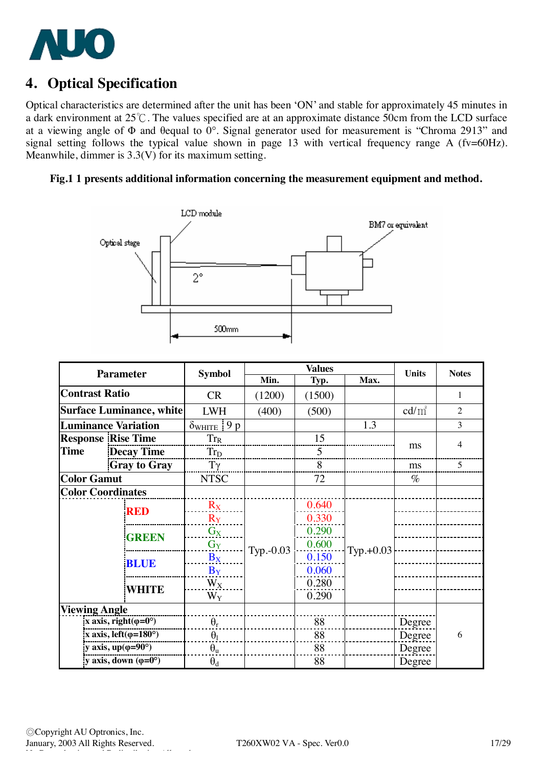

## **4. Optical Specification**

Optical characteristics are determined after the unit has been 'ON' and stable for approximately 45 minutes in a dark environment at 25℃. The values specified are at an approximate distance 50cm from the LCD surface at a viewing angle of Φ and θequal to 0°. Signal generator used for measurement is "Chroma 2913" and signal setting follows the typical value shown in page 13 with vertical frequency range A (fv=60Hz). Meanwhile, dimmer is 3.3(V) for its maximum setting.

#### **Fig.1 1 presents additional information concerning the measurement equipment and method.**



| <b>Parameter</b>         |                                      | <b>Symbol</b>                  | <b>Values</b> |        | <b>Units</b> | <b>Notes</b>    |                |
|--------------------------|--------------------------------------|--------------------------------|---------------|--------|--------------|-----------------|----------------|
|                          |                                      |                                | Min.          | Typ.   | Max.         |                 |                |
| <b>Contrast Ratio</b>    |                                      | <b>CR</b>                      | (1200)        | (1500) |              |                 | 1              |
|                          | <b>Surface Luminance, white</b>      | <b>LWH</b>                     | (400)         | (500)  |              | $\text{cd/m}^2$ | $\overline{2}$ |
|                          | <b>Luminance Variation</b>           | $\delta_{\text{WHITE}}$<br>9 p |               |        | 1.3          |                 | 3              |
|                          | <b>Response Rise Time</b>            | $Tr_R$                         |               | 15     |              |                 |                |
| <b>Time</b>              | <b>Decay Time</b>                    | $Tr_D$                         |               | 5      |              | ms              | 4              |
|                          | <b>Gray to Gray</b>                  | $T\gamma$                      |               | 8      |              | ms              | 5              |
| <b>Color Gamut</b>       |                                      | <b>NTSC</b>                    |               | 72     |              | $\%$            |                |
| <b>Color Coordinates</b> |                                      |                                |               |        |              |                 |                |
|                          | <b>RED</b>                           | $R_X$                          |               | 0.640  |              |                 |                |
|                          |                                      | $R_Y$                          |               | 0.330  |              |                 |                |
|                          | <b>GREEN</b>                         | $G_X$                          | $Typ. -0.03$  | 0.290  | $Typ.+0.03$  |                 |                |
|                          |                                      | $G_Y$                          |               | 0.600  |              |                 |                |
|                          | <b>BLUE</b>                          | $B_X$                          |               | 0.150  |              |                 |                |
|                          |                                      | $B_Y$                          |               | 0.060  |              |                 |                |
|                          | <b>WHITE</b>                         | $W_X$                          |               | 0.280  |              |                 |                |
|                          |                                      | $W_Y$                          |               | 0.290  |              |                 |                |
| <b>Viewing Angle</b>     |                                      |                                |               |        |              |                 |                |
|                          | x axis, right( $\varphi$ =0°)        | $\theta_r$                     |               | 88     |              | Degree          |                |
|                          | x axis, left $(\varphi=180^\circ)$   | $\theta_1$                     |               | 88     |              | Degree          | 6              |
|                          | y axis, $up(\varphi=90^{\circ})$     | $\theta_{u}$                   |               | 88     |              | Degree          |                |
|                          | y axis, down $(\varphi = 0^{\circ})$ | $\theta_d$                     |               | 88     |              | Degree          |                |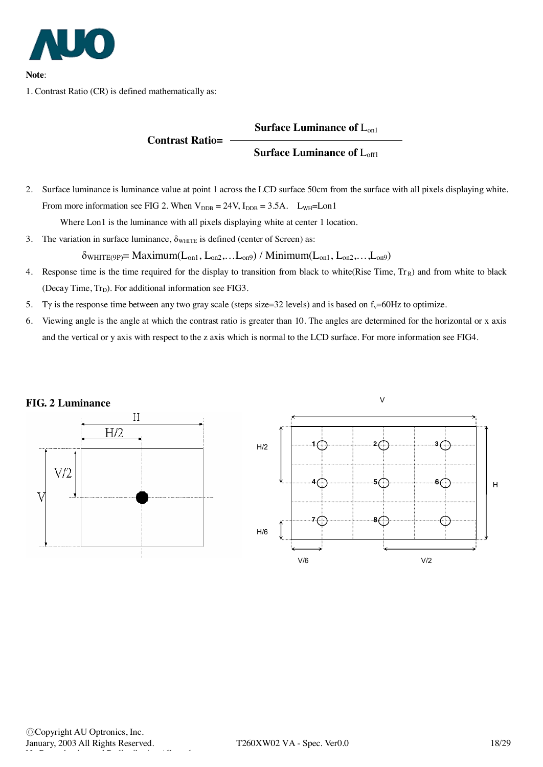

**Note**:

1. Contrast Ratio (CR) is defined mathematically as:

#### **Surface Luminance of** Lon1

#### **Surface Luminance of** Loff1

2. Surface luminance is luminance value at point 1 across the LCD surface 50cm from the surface with all pixels displaying white. From more information see FIG 2. When  $V_{\text{DDB}} = 24V$ ,  $I_{\text{DDB}} = 3.5A$ .  $L_{\text{WH}} = L_{\text{OPI}}$ 

Where Lon1 is the luminance with all pixels displaying white at center 1 location.

**Contrast Ratio=**

3. The variation in surface luminance,  $\delta_{\text{WHTE}}$  is defined (center of Screen) as:

 $\delta_{WHITE(9P)} = Maximum(L_{on1}, L_{on2},...L_{on9}) / Minimum(L_{on1}, L_{on2},...L_{on9})$ 

- 4. Response time is the time required for the display to transition from black to white(Rise Time,  $Tr_R$ ) and from white to black (Decay Time,  $Tr_D$ ). For additional information see FIG3.
- 5. Ty is the response time between any two gray scale (steps size=32 levels) and is based on  $f_v=60Hz$  to optimize.
- 6. Viewing angle is the angle at which the contrast ratio is greater than 10. The angles are determined for the horizontal or x axis and the vertical or y axis with respect to the z axis which is normal to the LCD surface. For more information see FIG4.

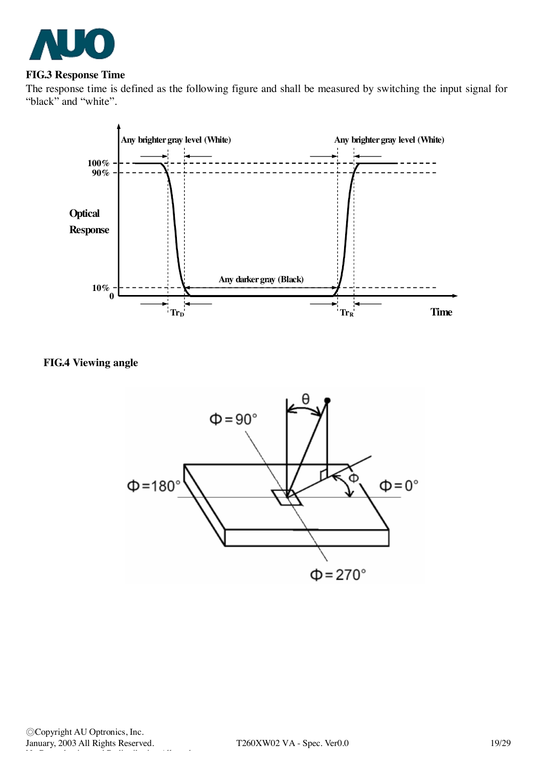

#### **FIG.3 Response Time**

The response time is defined as the following figure and shall be measured by switching the input signal for "black" and "white".



## **FIG.4 Viewing angle**

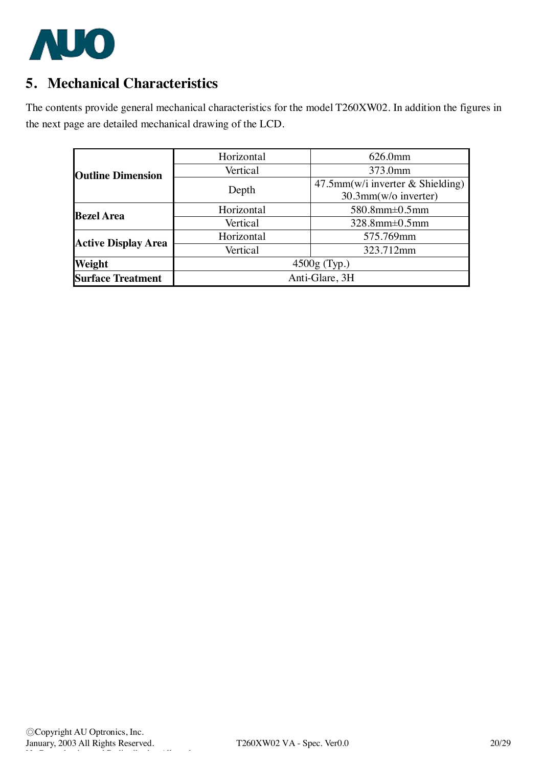

# **5. Mechanical Characteristics**

The contents provide general mechanical characteristics for the model T260XW02. In addition the figures in the next page are detailed mechanical drawing of the LCD.

|                            | Horizontal     | 626.0mm                             |  |  |
|----------------------------|----------------|-------------------------------------|--|--|
| <b>Outline Dimension</b>   | Vertical       | 373.0mm                             |  |  |
|                            |                | $47.5$ mm(w/i inverter & Shielding) |  |  |
|                            | Depth          | 30.3mm(w/o inverter)                |  |  |
| <b>Bezel Area</b>          | Horizontal     | $580.8$ mm $\pm 0.5$ mm             |  |  |
|                            | Vertical       | $328.8$ mm $\pm 0.5$ mm             |  |  |
| <b>Active Display Area</b> | Horizontal     | 575.769mm                           |  |  |
|                            | Vertical       | 323.712mm                           |  |  |
| Weight                     | $4500g$ (Typ.) |                                     |  |  |
| <b>Surface Treatment</b>   | Anti-Glare, 3H |                                     |  |  |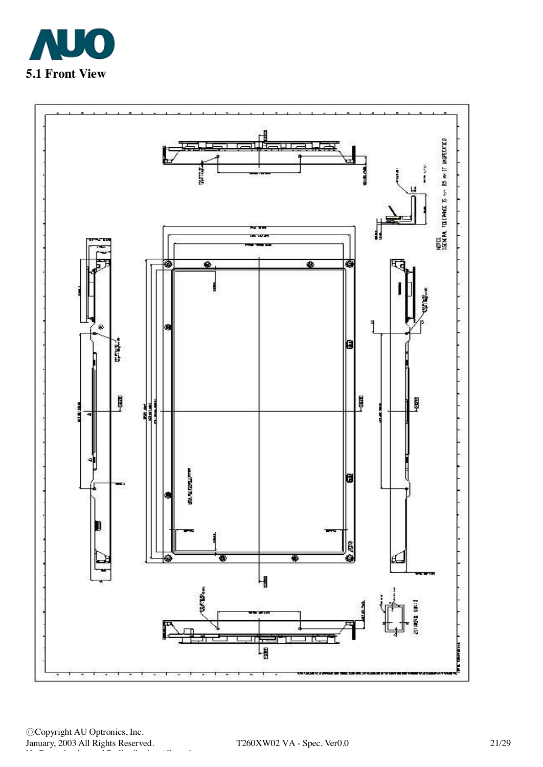



◎Copyright AU Optronics, Inc. January, 2003 All Rights Reserved. T260XW02 VA - Spec. Ver0.0 21/29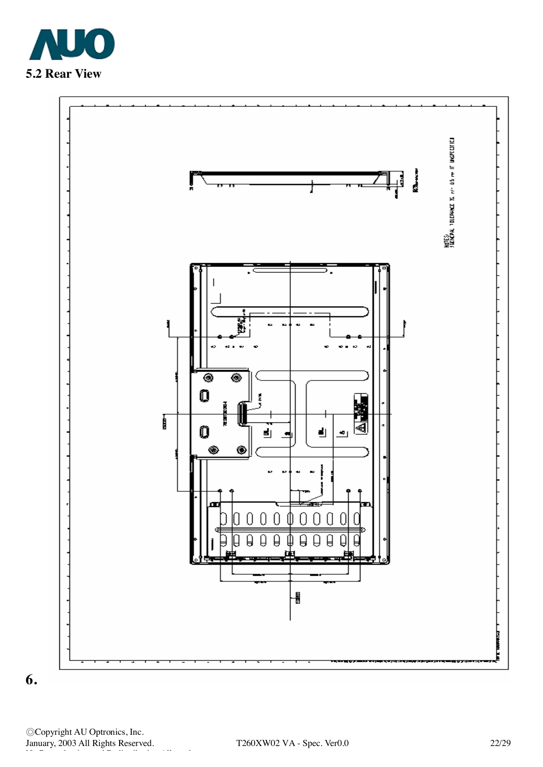



**6.**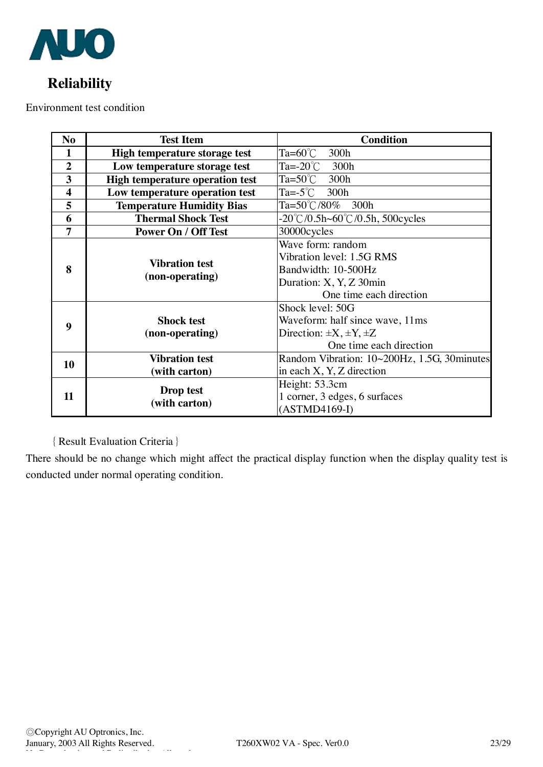

# **Reliability**

Environment test condition

| N <sub>o</sub>          | <b>Condition</b><br><b>Test Item</b>     |                                                              |  |  |
|-------------------------|------------------------------------------|--------------------------------------------------------------|--|--|
| 1                       | High temperature storage test            | Ta=60 $^{\circ}$ C<br>300h                                   |  |  |
| $\boldsymbol{2}$        | Low temperature storage test             | Ta=-20 $^{\circ}$ C<br>300h                                  |  |  |
| $\overline{\mathbf{3}}$ | <b>High temperature operation test</b>   | $Ta = 50^{\circ}$ C<br>300h                                  |  |  |
| $\overline{\mathbf{4}}$ | Low temperature operation test           | Ta=-5 $\degree$ C<br>300h                                    |  |  |
| 5                       | <b>Temperature Humidity Bias</b>         | Ta=50°C/80%<br>300h                                          |  |  |
| 6                       | <b>Thermal Shock Test</b>                | $-20^{\circ}$ C/0.5h $\sim$ 60 $^{\circ}$ C/0.5h, 500 cycles |  |  |
| 7                       | <b>Power On / Off Test</b>               | 30000cycles                                                  |  |  |
| 8                       |                                          | Wave form: random                                            |  |  |
|                         | <b>Vibration test</b><br>(non-operating) | Vibration level: 1.5G RMS                                    |  |  |
|                         |                                          | Bandwidth: 10-500Hz                                          |  |  |
|                         |                                          | Duration: X, Y, Z 30min                                      |  |  |
|                         |                                          | One time each direction                                      |  |  |
|                         |                                          | Shock level: 50G                                             |  |  |
| 9                       | <b>Shock test</b>                        | Waveform: half since wave, 11ms                              |  |  |
|                         | (non-operating)                          | Direction: $\pm X, \pm Y, \pm Z$                             |  |  |
|                         |                                          | One time each direction                                      |  |  |
| 10                      | <b>Vibration test</b>                    | Random Vibration: 10~200Hz, 1.5G, 30minutes                  |  |  |
|                         | (with carton)                            | in each X, Y, Z direction                                    |  |  |
| 11                      | Drop test                                | Height: 53.3cm                                               |  |  |
|                         | (with carton)                            | 1 corner, 3 edges, 6 surfaces                                |  |  |
|                         |                                          | $(ASTMD4169-I)$                                              |  |  |

## {Result Evaluation Criteria}

There should be no change which might affect the practical display function when the display quality test is conducted under normal operating condition.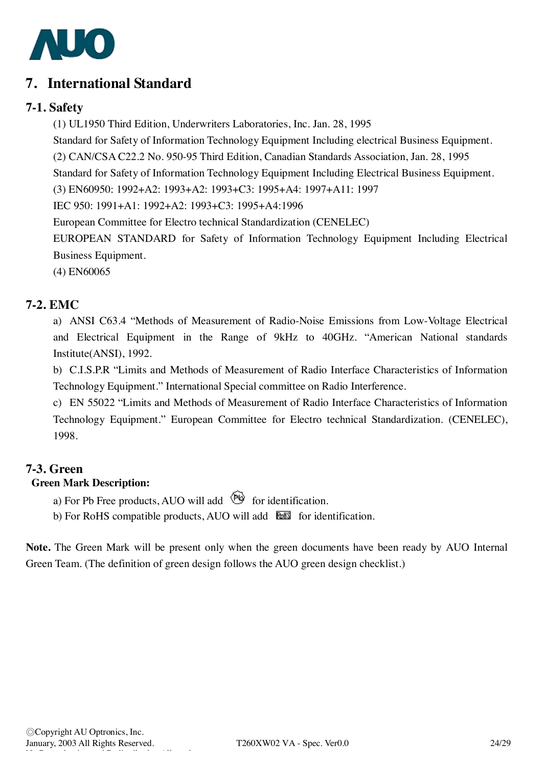

## **7. International Standard**

## **7-1. Safety**

(1) UL1950 Third Edition, Underwriters Laboratories, Inc. Jan. 28, 1995

Standard for Safety of Information Technology Equipment Including electrical Business Equipment.

(2) CAN/CSA C22.2 No. 950-95 Third Edition, Canadian Standards Association, Jan. 28, 1995

Standard for Safety of Information Technology Equipment Including Electrical Business Equipment.

(3) EN60950: 1992+A2: 1993+A2: 1993+C3: 1995+A4: 1997+A11: 1997

IEC 950: 1991+A1: 1992+A2: 1993+C3: 1995+A4:1996

European Committee for Electro technical Standardization (CENELEC)

EUROPEAN STANDARD for Safety of Information Technology Equipment Including Electrical Business Equipment.

(4) EN60065

## **7-2. EMC**

a) ANSI C63.4 "Methods of Measurement of Radio-Noise Emissions from Low-Voltage Electrical and Electrical Equipment in the Range of 9kHz to 40GHz. "American National standards Institute(ANSI), 1992.

b) C.I.S.P.R "Limits and Methods of Measurement of Radio Interface Characteristics of Information Technology Equipment." International Special committee on Radio Interference.

c) EN 55022 "Limits and Methods of Measurement of Radio Interface Characteristics of Information Technology Equipment." European Committee for Electro technical Standardization. (CENELEC), 1998.

## **7-3. Green**

## **Green Mark Description:**

a) For Pb Free products, AUO will add  $\bigotimes$  for identification.

b) For RoHS compatible products, AUO will add  $\overline{\text{b}}$  for identification.

**Note.** The Green Mark will be present only when the green documents have been ready by AUO Internal Green Team. (The definition of green design follows the AUO green design checklist.)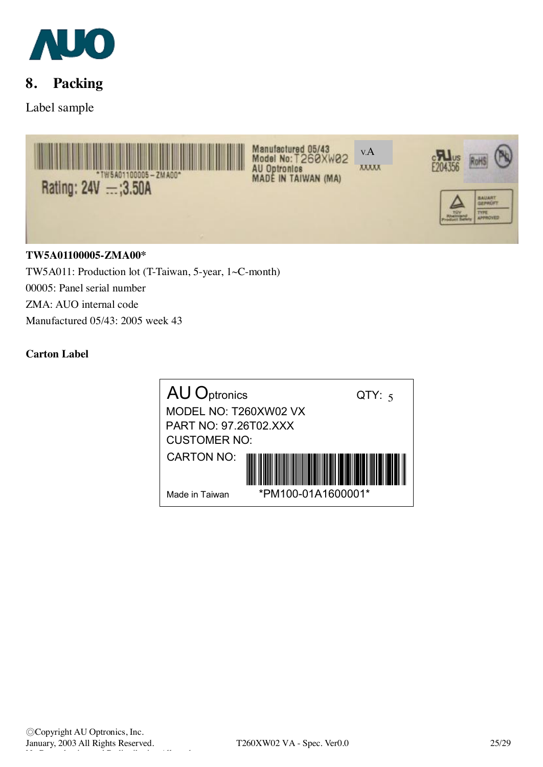

## **8. Packing**

Label sample



00005: Panel serial number ZMA: AUO internal code Manufactured 05/43: 2005 week 43

### **Carton Label**

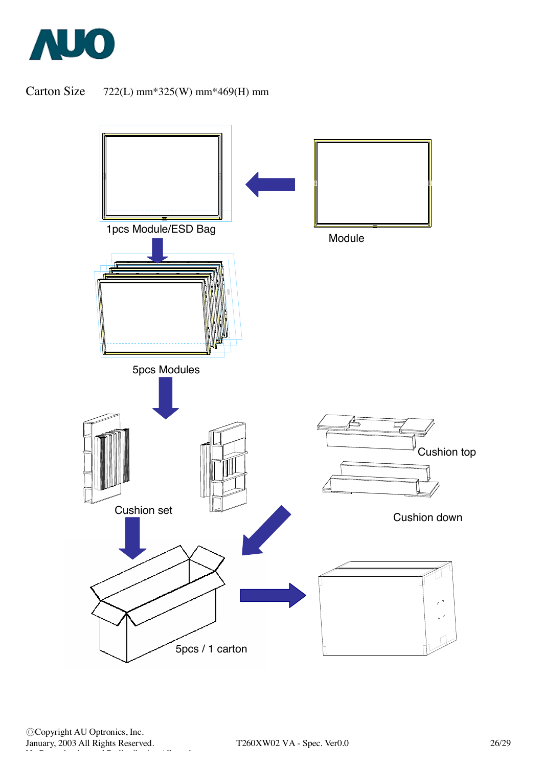

## Carton Size 722(L) mm\*325(W) mm\*469(H) mm



◎Copyright AU Optronics, Inc. January, 2003 All Rights Reserved. T260XW02 VA - Spec. Ver0.0 26/29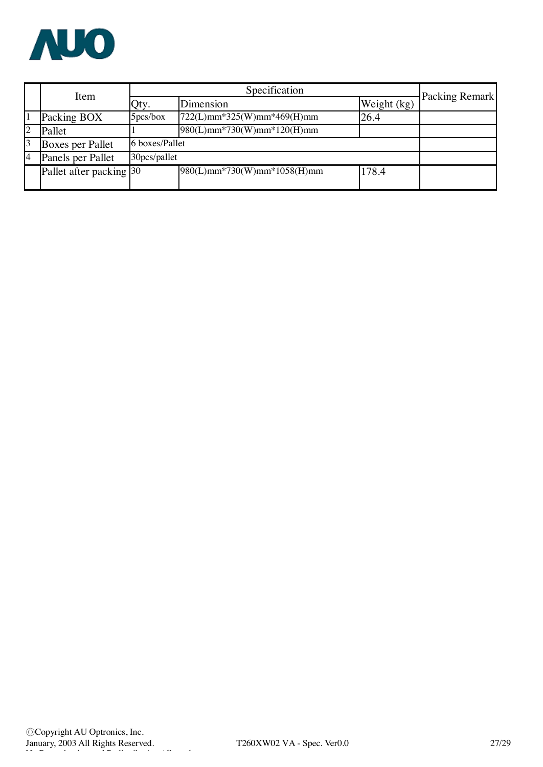

|                | Item                    | Specification |                               |             | Packing Remark |  |
|----------------|-------------------------|---------------|-------------------------------|-------------|----------------|--|
|                |                         | Qty.          | Dimension                     | Weight (kg) |                |  |
|                | Packing BOX             | 5pcs/box      | 722(L)mm*325(W)mm*469(H)mm    | 26.4        |                |  |
| $\overline{c}$ | Pallet                  |               | $980(L)$ mm*730(W)mm*120(H)mm |             |                |  |
| 3              | Boxes per Pallet        |               | 6 boxes/Pallet                |             |                |  |
| 4              | Panels per Pallet       | 30pcs/pallet  |                               |             |                |  |
|                | Pallet after packing 30 |               | 980(L)mm*730(W)mm*1058(H)mm   | 178.4       |                |  |
|                |                         |               |                               |             |                |  |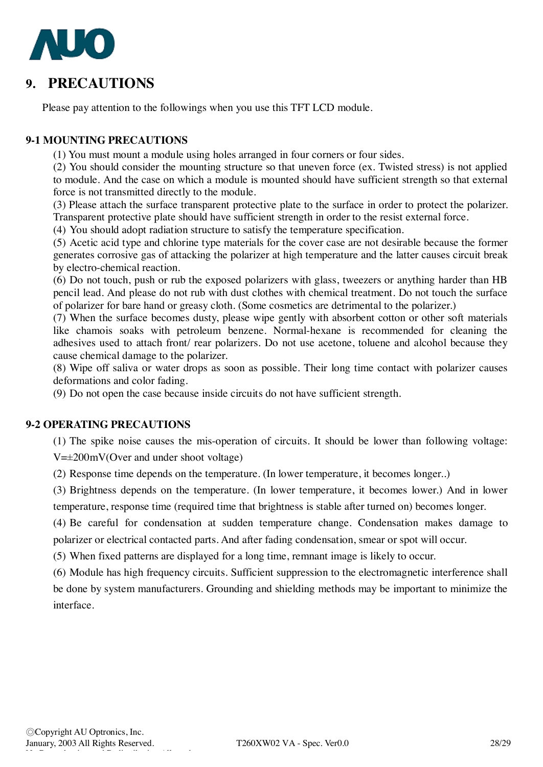

## **9. PRECAUTIONS**

Please pay attention to the followings when you use this TFT LCD module.

### **9-1 MOUNTING PRECAUTIONS**

(1) You must mount a module using holes arranged in four corners or four sides.

(2) You should consider the mounting structure so that uneven force (ex. Twisted stress) is not applied to module. And the case on which a module is mounted should have sufficient strength so that external force is not transmitted directly to the module.

(3) Please attach the surface transparent protective plate to the surface in order to protect the polarizer. Transparent protective plate should have sufficient strength in order to the resist external force.

(4) You should adopt radiation structure to satisfy the temperature specification.

(5) Acetic acid type and chlorine type materials for the cover case are not desirable because the former generates corrosive gas of attacking the polarizer at high temperature and the latter causes circuit break by electro-chemical reaction.

(6) Do not touch, push or rub the exposed polarizers with glass, tweezers or anything harder than HB pencil lead. And please do not rub with dust clothes with chemical treatment. Do not touch the surface of polarizer for bare hand or greasy cloth. (Some cosmetics are detrimental to the polarizer.)

(7) When the surface becomes dusty, please wipe gently with absorbent cotton or other soft materials like chamois soaks with petroleum benzene. Normal-hexane is recommended for cleaning the adhesives used to attach front/ rear polarizers. Do not use acetone, toluene and alcohol because they cause chemical damage to the polarizer.

(8) Wipe off saliva or water drops as soon as possible. Their long time contact with polarizer causes deformations and color fading.

(9) Do not open the case because inside circuits do not have sufficient strength.

#### **9-2 OPERATING PRECAUTIONS**

(1) The spike noise causes the mis-operation of circuits. It should be lower than following voltage: V=±200mV(Over and under shoot voltage)

(2) Response time depends on the temperature. (In lower temperature, it becomes longer..)

(3) Brightness depends on the temperature. (In lower temperature, it becomes lower.) And in lower temperature, response time (required time that brightness is stable after turned on) becomes longer.

(4) Be careful for condensation at sudden temperature change. Condensation makes damage to polarizer or electrical contacted parts. And after fading condensation, smear or spot will occur.

(5) When fixed patterns are displayed for a long time, remnant image is likely to occur.

(6) Module has high frequency circuits. Sufficient suppression to the electromagnetic interference shall be done by system manufacturers. Grounding and shielding methods may be important to minimize the interface.